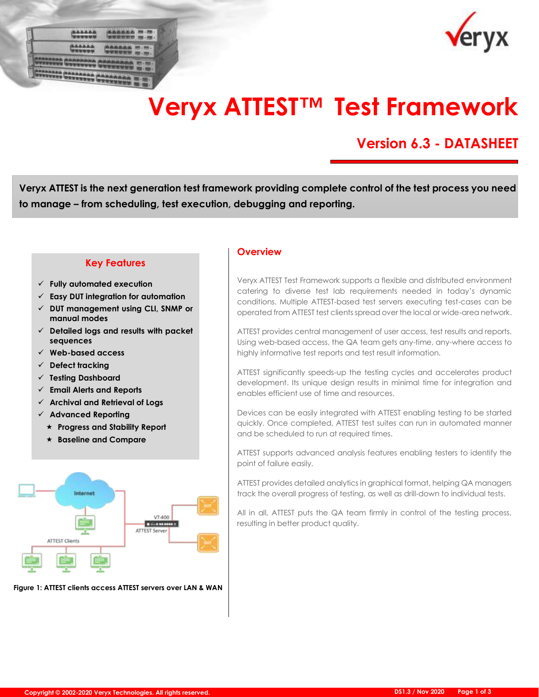| I<br>٠ | <b>SEALISTER STATE</b>                        |                                     |   |
|--------|-----------------------------------------------|-------------------------------------|---|
|        | ÷<br>÷                                        | 491910200<br>×                      |   |
| ٠      | <b>PERSONAL</b><br>14444880<br><b>ALLENAN</b> | 198995<br><b>Service Advised By</b> |   |
|        | <b>GREEN</b><br><b>WP</b>                     | <b>FEB</b><br>34 5<br>×<br>         | ٠ |



# **Veryx ATTEST™ Test Framework**

# **Version 6.3 - DATASHEET**

**Veryx ATTEST is the next generation test framework providing complete control of the test process you need to manage – from scheduling, test execution, debugging and reporting.** 

## **Key Features**

- ✓ **Fully automated execution**
- ✓ **Easy DUT integration for automation**
- ✓ **DUT management using CLI, SNMP or manual modes**
- ✓ **Detailed logs and results with packet sequences**
- ✓ **Web-based access**
- ✓ **Defect tracking**
- ✓ **Testing Dashboard**
- ✓ **Email Alerts and Reports**
- ✓ **Archival and Retrieval of Logs**
- ✓ **Advanced Reporting**
	- **Progress and Stability Report**
	- **Baseline and Compare**



**Figure 1: ATTEST clients access ATTEST servers over LAN & WAN** 

### **Overview**

Veryx ATTEST Test Framework supports a flexible and distributed environment catering to diverse test lab requirements needed in today's dynamic conditions. Multiple ATTEST-based test servers executing test-cases can be operated from ATTEST test clients spread over the local or wide-area network.

ATTEST provides central management of user access, test results and reports. Using web-based access, the QA team gets any-time, any-where access to highly informative test reports and test result information.

ATTEST significantly speeds-up the testing cycles and accelerates product development. Its unique design results in minimal time for integration and enables efficient use of time and resources.

Devices can be easily integrated with ATTEST enabling testing to be started quickly. Once completed, ATTEST test suites can run in automated manner and be scheduled to run at required times.

ATTEST supports advanced analysis features enabling testers to identify the point of failure easily.

ATTEST provides detailed analytics in graphical format, helping QA managers track the overall progress of testing, as well as drill-down to individual tests.

All in all, ATTEST puts the QA team firmly in control of the testing process, resulting in better product quality.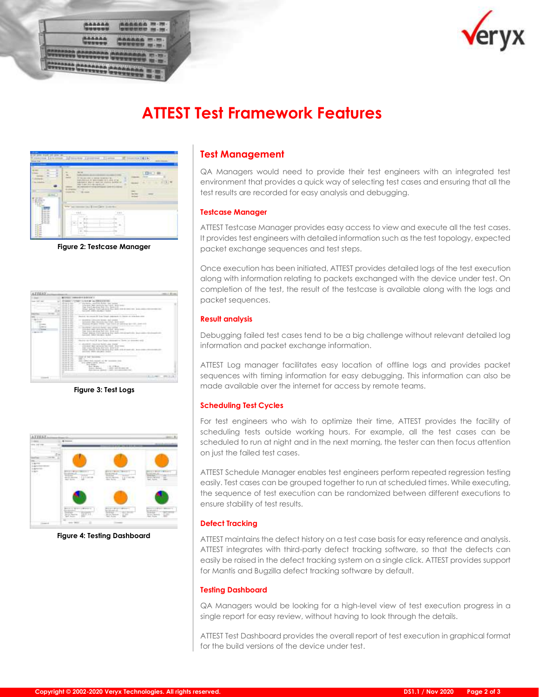



# **ATTEST Test Framework Features**



**Figure 2: Testcase Manager**



**Figure 3: Test Logs**



**Figure 4: Testing Dashboard**

# **Test Management**

QA Managers would need to provide their test engineers with an integrated test environment that provides a quick way of selecting test cases and ensuring that all the test results are recorded for easy analysis and debugging.

#### **Testcase Manager**

ATTEST Testcase Manager provides easy access to view and execute all the test cases. It provides test engineers with detailed information such as the test topology, expected packet exchange sequences and test steps.

Once execution has been initiated, ATTEST provides detailed logs of the test execution along with information relating to packets exchanged with the device under test. On completion of the test, the result of the testcase is available along with the logs and packet sequences.

#### **Result analysis**

Debugging failed test cases tend to be a big challenge without relevant detailed log information and packet exchange information.

ATTEST Log manager facilitates easy location of offline logs and provides packet sequences with timing information for easy debugging. This information can also be made available over the internet for access by remote teams.

#### **Scheduling Test Cycles**

For test engineers who wish to optimize their time, ATTEST provides the facility of scheduling tests outside working hours. For example, all the test cases can be scheduled to run at night and in the next morning, the tester can then focus attention on just the failed test cases.

ATTEST Schedule Manager enables test engineers perform repeated regression testing easily. Test cases can be grouped together to run at scheduled times. While executing, the sequence of test execution can be randomized between different executions to ensure stability of test results.

#### **Defect Tracking**

ATTEST maintains the defect history on a test case basis for easy reference and analysis. ATTEST integrates with third-party defect tracking software, so that the defects can easily be raised in the defect tracking system on a single click. ATTEST provides support for Mantis and Bugzilla defect tracking software by default.

#### **Testing Dashboard**

QA Managers would be looking for a high-level view of test execution progress in a single report for easy review, without having to look through the details.

ATTEST Test Dashboard provides the overall report of test execution in graphical format for the build versions of the device under test.